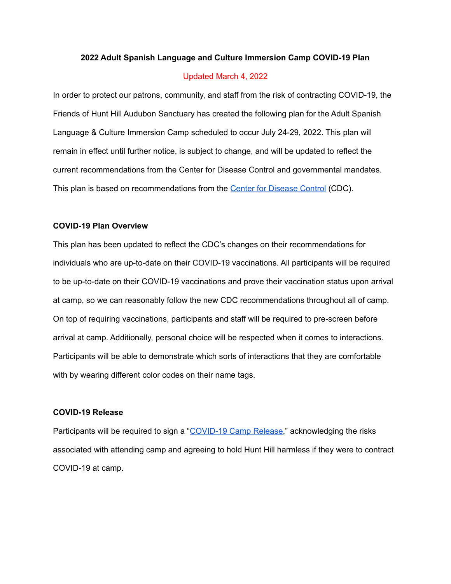#### **2022 Adult Spanish Language and Culture Immersion Camp COVID-19 Plan**

#### Updated March 4, 2022

In order to protect our patrons, community, and staff from the risk of contracting COVID-19, the Friends of Hunt Hill Audubon Sanctuary has created the following plan for the Adult Spanish Language & Culture Immersion Camp scheduled to occur July 24-29, 2022. This plan will remain in effect until further notice, is subject to change, and will be updated to reflect the current recommendations from the Center for Disease Control and governmental mandates. This plan is based on recommendations from the Center for [Disease](https://www.cdc.gov/coronavirus/2019-nCoV/index.html) Control (CDC).

#### **COVID-19 Plan Overview**

This plan has been updated to reflect the CDC's changes on their recommendations for individuals who are up-to-date on their COVID-19 vaccinations. All participants will be required to be up-to-date on their COVID-19 vaccinations and prove their vaccination status upon arrival at camp, so we can reasonably follow the new CDC recommendations throughout all of camp. On top of requiring vaccinations, participants and staff will be required to pre-screen before arrival at camp. Additionally, personal choice will be respected when it comes to interactions. Participants will be able to demonstrate which sorts of interactions that they are comfortable with by wearing different color codes on their name tags.

### **COVID-19 Release**

Participants will be required to sign a "[COVID-19](https://docs.google.com/document/d/1GHB6GH6pwIZD2KdLLQszuwTZTA7Q6HYOVjFJC5R3Z-4/edit?usp=sharing) Camp Release," acknowledging the risks associated with attending camp and agreeing to hold Hunt Hill harmless if they were to contract COVID-19 at camp.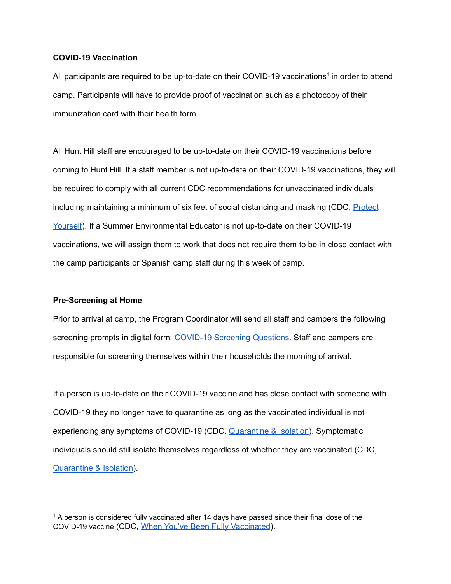## **COVID-19 Vaccination**

All participants are required to be up-to-date on their COVID-19 vaccinations<sup>1</sup> in order to attend camp. Participants will have to provide proof of vaccination such as a photocopy of their immunization card with their health form.

All Hunt Hill staff are encouraged to be up-to-date on their COVID-19 vaccinations before coming to Hunt Hill. If a staff member is not up-to-date on their COVID-19 vaccinations, they will be required to comply with all current CDC recommendations for unvaccinated individuals including maintaining a minimum of six feet of social distancing and masking (CDC, [Protect](https://www.cdc.gov/coronavirus/2019-ncov/prevent-getting-sick/prevention.html) [Yourself](https://www.cdc.gov/coronavirus/2019-ncov/prevent-getting-sick/prevention.html)). If a Summer Environmental Educator is not up-to-date on their COVID-19 vaccinations, we will assign them to work that does not require them to be in close contact with the camp participants or Spanish camp staff during this week of camp.

### **Pre-Screening at Home**

Prior to arrival at camp, the Program Coordinator will send all staff and campers the following screening prompts in digital form: [COVID-19](https://docs.google.com/document/d/1aJW8HVWJA9bfOQ-cVFEJX3cq7PP8WVNM0C5vFU2Uju8/edit?usp=sharing) Screening Questions. Staff and campers are responsible for screening themselves within their households the morning of arrival.

If a person is up-to-date on their COVID-19 vaccine and has close contact with someone with COVID-19 they no longer have to quarantine as long as the vaccinated individual is not experiencing any symptoms of COVID-19 (CDC, [Quarantine](https://www.cdc.gov/coronavirus/2019-ncov/your-health/quarantine-isolation.html?CDC_AA_refVal=https%3A%2F%2Fwww.cdc.gov%2Fcoronavirus%2F2019-ncov%2Fif-you-are-sick%2Fquarantine.html) & Isolation). Symptomatic individuals should still isolate themselves regardless of whether they are vaccinated (CDC, [Quarantine](https://www.cdc.gov/coronavirus/2019-ncov/your-health/quarantine-isolation.html?CDC_AA_refVal=https%3A%2F%2Fwww.cdc.gov%2Fcoronavirus%2F2019-ncov%2Fif-you-are-sick%2Fquarantine.html) & Isolation).

 $1$  A person is considered fully vaccinated after 14 days have passed since their final dose of the COVID-19 vaccine (CDC, When You've Been Fully [Vaccinated](https://www.cdc.gov/coronavirus/2019-ncov/vaccines/fully-vaccinated.html)).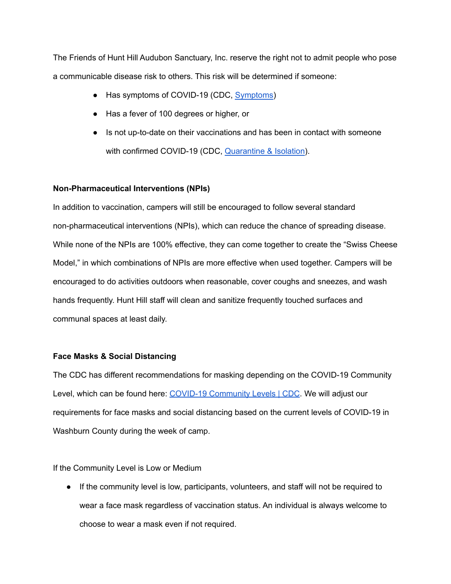The Friends of Hunt Hill Audubon Sanctuary, Inc. reserve the right not to admit people who pose a communicable disease risk to others. This risk will be determined if someone:

- Has symptoms of COVID-19 (CDC, [Symptoms](https://www.cdc.gov/coronavirus/2019-ncov/symptoms-testing/symptoms.html))
- Has a fever of 100 degrees or higher, or
- Is not up-to-date on their vaccinations and has been in contact with someone with confirmed COVID-19 (CDC, [Quarantine](https://www.cdc.gov/coronavirus/2019-ncov/your-health/quarantine-isolation.html?CDC_AA_refVal=https%3A%2F%2Fwww.cdc.gov%2Fcoronavirus%2F2019-ncov%2Fif-you-are-sick%2Fquarantine.html) & Isolation).

# **Non-Pharmaceutical Interventions (NPIs)**

In addition to vaccination, campers will still be encouraged to follow several standard non-pharmaceutical interventions (NPIs), which can reduce the chance of spreading disease. While none of the NPIs are 100% effective, they can come together to create the "Swiss Cheese Model," in which combinations of NPIs are more effective when used together. Campers will be encouraged to do activities outdoors when reasonable, cover coughs and sneezes, and wash hands frequently. Hunt Hill staff will clean and sanitize frequently touched surfaces and communal spaces at least daily.

## **Face Masks & Social Distancing**

The CDC has different recommendations for masking depending on the COVID-19 Community Level, which can be found here: COVID-19 [Community](https://www.cdc.gov/coronavirus/2019-ncov/science/community-levels.html) Levels | CDC. We will adjust our requirements for face masks and social distancing based on the current levels of COVID-19 in Washburn County during the week of camp.

If the Community Level is Low or Medium

● If the community level is low, participants, volunteers, and staff will not be required to wear a face mask regardless of vaccination status. An individual is always welcome to choose to wear a mask even if not required.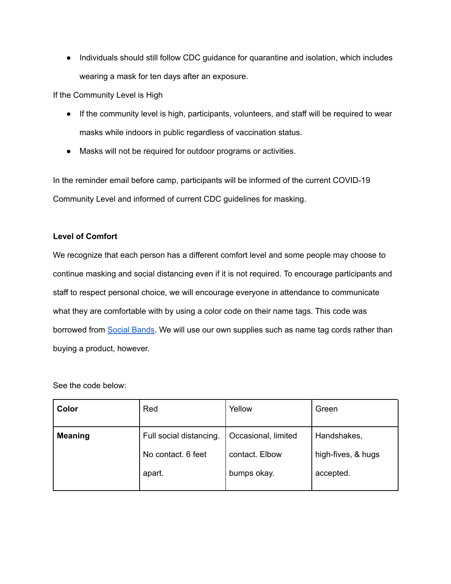● Individuals should still follow CDC guidance for quarantine and isolation, which includes wearing a mask for ten days after an exposure.

If the Community Level is High

- If the community level is high, participants, volunteers, and staff will be required to wear masks while indoors in public regardless of vaccination status.
- Masks will not be required for outdoor programs or activities.

In the reminder email before camp, participants will be informed of the current COVID-19 Community Level and informed of current CDC guidelines for masking.

# **Level of Comfort**

We recognize that each person has a different comfort level and some people may choose to continue masking and social distancing even if it is not required. To encourage participants and staff to respect personal choice, we will encourage everyone in attendance to communicate what they are comfortable with by using a color code on their name tags. This code was borrowed from Social [Bands](https://www.socialbandbands.com/). We will use our own supplies such as name tag cords rather than buying a product, however.

See the code below:

| Color          | Red                     | Yellow              | Green              |
|----------------|-------------------------|---------------------|--------------------|
| <b>Meaning</b> | Full social distancing. | Occasional, limited | Handshakes,        |
|                | No contact. 6 feet      | contact. Elbow      | high-fives, & hugs |
|                | apart.                  | bumps okay.         | accepted.          |
|                |                         |                     |                    |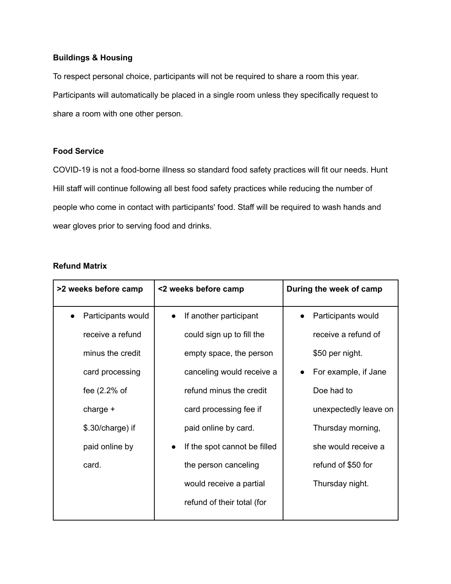## **Buildings & Housing**

To respect personal choice, participants will not be required to share a room this year. Participants will automatically be placed in a single room unless they specifically request to share a room with one other person.

## **Food Service**

COVID-19 is not a food-borne illness so standard food safety practices will fit our needs. Hunt Hill staff will continue following all best food safety practices while reducing the number of people who come in contact with participants' food. Staff will be required to wash hands and wear gloves prior to serving food and drinks.

### **Refund Matrix**

| >2 weeks before camp | <2 weeks before camp         | During the week of camp |
|----------------------|------------------------------|-------------------------|
| Participants would   | If another participant       | Participants would      |
| receive a refund     | could sign up to fill the    | receive a refund of     |
| minus the credit     | empty space, the person      | \$50 per night.         |
| card processing      | canceling would receive a    | For example, if Jane    |
| fee $(2.2%$ of       | refund minus the credit      | Doe had to              |
| charge $+$           | card processing fee if       | unexpectedly leave on   |
| \$.30/charge) if     | paid online by card.         | Thursday morning,       |
| paid online by       | If the spot cannot be filled | she would receive a     |
| card.                | the person canceling         | refund of \$50 for      |
|                      | would receive a partial      | Thursday night.         |
|                      | refund of their total (for   |                         |
|                      |                              |                         |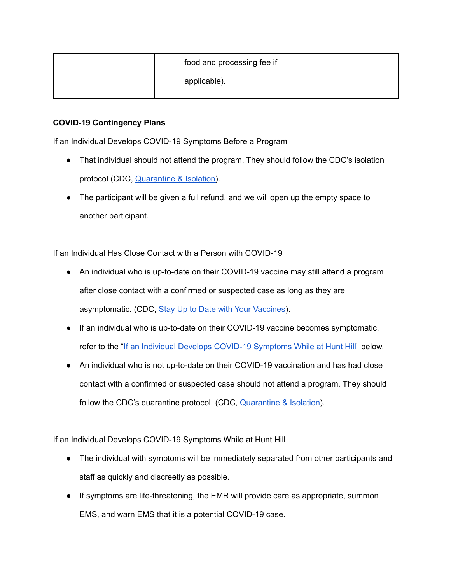| food and processing fee if |  |
|----------------------------|--|
| applicable).               |  |

# **COVID-19 Contingency Plans**

If an Individual Develops COVID-19 Symptoms Before a Program

- That individual should not attend the program. They should follow the CDC's isolation protocol (CDC, [Quarantine](https://www.cdc.gov/coronavirus/2019-ncov/your-health/quarantine-isolation.html?CDC_AA_refVal=https%3A%2F%2Fwww.cdc.gov%2Fcoronavirus%2F2019-ncov%2Fif-you-are-sick%2Fquarantine.html) & Isolation).
- The participant will be given a full refund, and we will open up the empty space to another participant.

<span id="page-5-1"></span>If an Individual Has Close Contact with a Person with COVID-19

- An individual who is up-to-date on their COVID-19 vaccine may still attend a program after close contact with a confirmed or suspected case as long as they are asymptomatic. (CDC, Stay Up to Date with Your [Vaccines\)](https://www.cdc.gov/coronavirus/2019-ncov/vaccines/fully-vaccinated.html).
- If an individual who is up-to-date on their COVID-19 vaccine becomes symptomatic, refer to the "If an Individual Develops COVID-19 [Symptoms](#page-5-0) While at Hunt Hill" below.
- An individual who is not up-to-date on their COVID-19 vaccination and has had close contact with a confirmed or suspected case should not attend a program. They should follow the CDC's quarantine protocol. (CDC, [Quarantine](https://www.cdc.gov/coronavirus/2019-ncov/your-health/quarantine-isolation.html?CDC_AA_refVal=https%3A%2F%2Fwww.cdc.gov%2Fcoronavirus%2F2019-ncov%2Fif-you-are-sick%2Fquarantine.html) & Isolation).

<span id="page-5-0"></span>If an Individual Develops COVID-19 Symptoms While at Hunt Hill

- The individual with symptoms will be immediately separated from other participants and staff as quickly and discreetly as possible.
- If symptoms are life-threatening, the EMR will provide care as appropriate, summon EMS, and warn EMS that it is a potential COVID-19 case.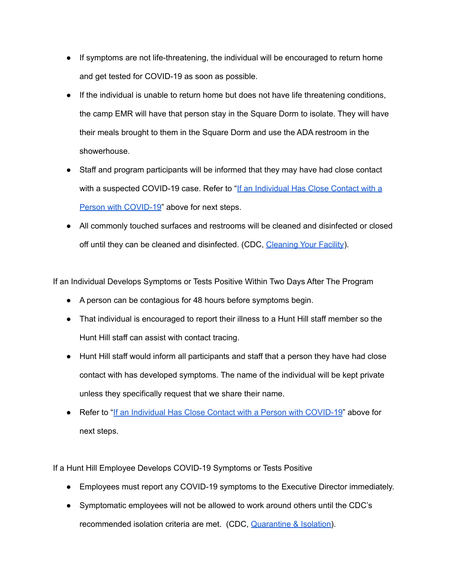- If symptoms are not life-threatening, the individual will be encouraged to return home and get tested for COVID-19 as soon as possible.
- If the individual is unable to return home but does not have life threatening conditions, the camp EMR will have that person stay in the Square Dorm to isolate. They will have their meals brought to them in the Square Dorm and use the ADA restroom in the showerhouse.
- Staff and program participants will be informed that they may have had close contact with a suspected COVID-19 case. Refer to "If an [Individual](#page-5-1) Has Close Contact with a Person with [COVID-19](#page-5-1)" above for next steps.
- All commonly touched surfaces and restrooms will be cleaned and disinfected or closed off until they can be cleaned and disinfected. (CDC, [Cleaning](https://www.cdc.gov/coronavirus/2019-ncov/community/disinfecting-building-facility.html) Your Facility).

If an Individual Develops Symptoms or Tests Positive Within Two Days After The Program

- A person can be contagious for 48 hours before symptoms begin.
- That individual is encouraged to report their illness to a Hunt Hill staff member so the Hunt Hill staff can assist with contact tracing.
- Hunt Hill staff would inform all participants and staff that a person they have had close contact with has developed symptoms. The name of the individual will be kept private unless they specifically request that we share their name.
- Refer to "If an Individual Has Close Contact with a Person with [COVID-19](#page-5-1)" above for next steps.

If a Hunt Hill Employee Develops COVID-19 Symptoms or Tests Positive

- Employees must report any COVID-19 symptoms to the Executive Director immediately.
- Symptomatic employees will not be allowed to work around others until the CDC's recommended isolation criteria are met. (CDC, [Quarantine](https://www.cdc.gov/coronavirus/2019-ncov/your-health/quarantine-isolation.html) & Isolation).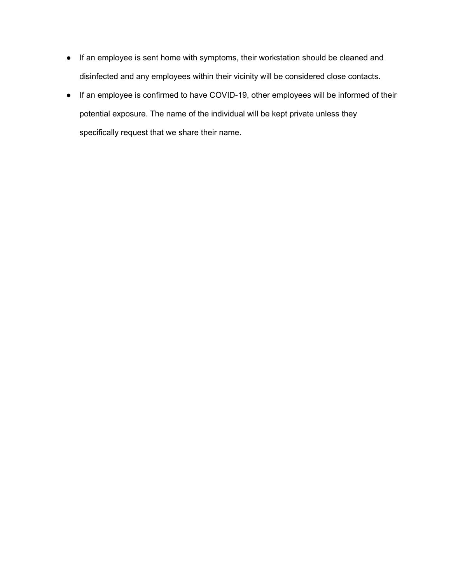- If an employee is sent home with symptoms, their workstation should be cleaned and disinfected and any employees within their vicinity will be considered close contacts.
- If an employee is confirmed to have COVID-19, other employees will be informed of their potential exposure. The name of the individual will be kept private unless they specifically request that we share their name.